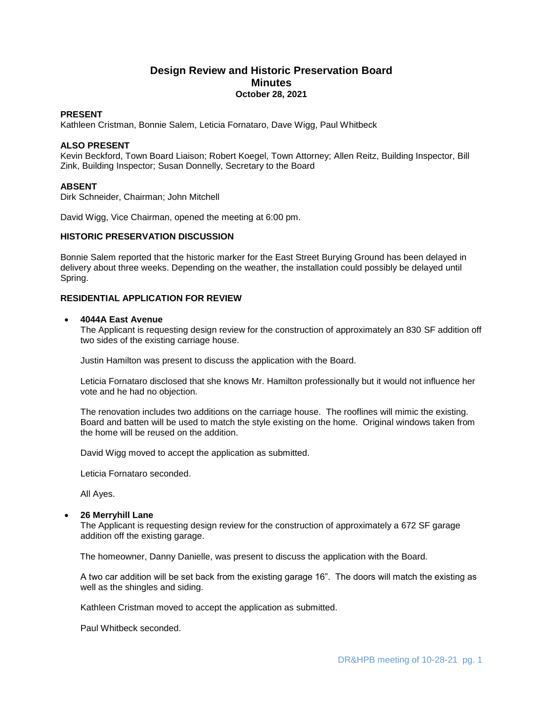# **Design Review and Historic Preservation Board Minutes October 28, 2021**

## **PRESENT**

Kathleen Cristman, Bonnie Salem, Leticia Fornataro, Dave Wigg, Paul Whitbeck

## **ALSO PRESENT**

Kevin Beckford, Town Board Liaison; Robert Koegel, Town Attorney; Allen Reitz, Building Inspector, Bill Zink, Building Inspector; Susan Donnelly, Secretary to the Board

## **ABSENT**

Dirk Schneider, Chairman; John Mitchell

David Wigg, Vice Chairman, opened the meeting at 6:00 pm.

## **HISTORIC PRESERVATION DISCUSSION**

Bonnie Salem reported that the historic marker for the East Street Burying Ground has been delayed in delivery about three weeks. Depending on the weather, the installation could possibly be delayed until Spring.

## **RESIDENTIAL APPLICATION FOR REVIEW**

#### **4044A East Avenue**

The Applicant is requesting design review for the construction of approximately an 830 SF addition off two sides of the existing carriage house.

Justin Hamilton was present to discuss the application with the Board.

Leticia Fornataro disclosed that she knows Mr. Hamilton professionally but it would not influence her vote and he had no objection.

The renovation includes two additions on the carriage house. The rooflines will mimic the existing. Board and batten will be used to match the style existing on the home. Original windows taken from the home will be reused on the addition.

David Wigg moved to accept the application as submitted.

Leticia Fornataro seconded.

All Ayes.

### **26 Merryhill Lane**

The Applicant is requesting design review for the construction of approximately a 672 SF garage addition off the existing garage.

The homeowner, Danny Danielle, was present to discuss the application with the Board.

A two car addition will be set back from the existing garage 16". The doors will match the existing as well as the shingles and siding.

Kathleen Cristman moved to accept the application as submitted.

Paul Whitbeck seconded.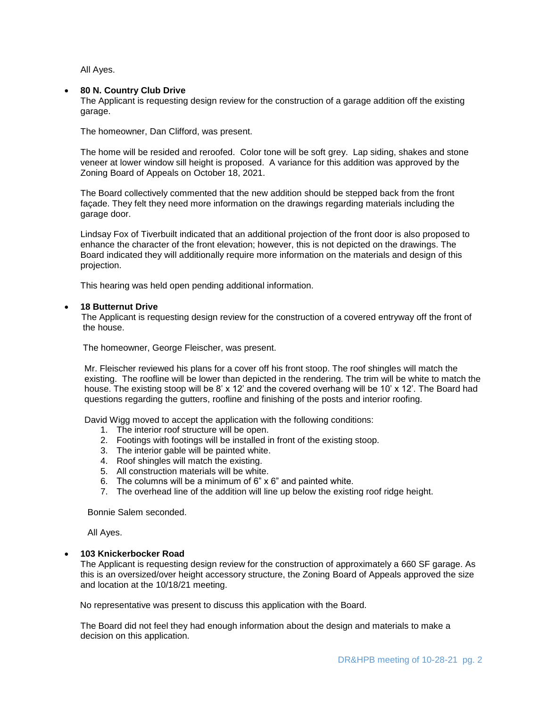All Ayes.

#### **80 N. Country Club Drive**

The Applicant is requesting design review for the construction of a garage addition off the existing garage.

The homeowner, Dan Clifford, was present.

The home will be resided and reroofed. Color tone will be soft grey. Lap siding, shakes and stone veneer at lower window sill height is proposed. A variance for this addition was approved by the Zoning Board of Appeals on October 18, 2021.

The Board collectively commented that the new addition should be stepped back from the front façade. They felt they need more information on the drawings regarding materials including the garage door.

Lindsay Fox of Tiverbuilt indicated that an additional projection of the front door is also proposed to enhance the character of the front elevation; however, this is not depicted on the drawings. The Board indicated they will additionally require more information on the materials and design of this projection.

This hearing was held open pending additional information.

## **18 Butternut Drive**

 The Applicant is requesting design review for the construction of a covered entryway off the front of the house.

The homeowner, George Fleischer, was present.

Mr. Fleischer reviewed his plans for a cover off his front stoop. The roof shingles will match the existing. The roofline will be lower than depicted in the rendering. The trim will be white to match the house. The existing stoop will be 8' x 12' and the covered overhang will be 10' x 12'. The Board had questions regarding the gutters, roofline and finishing of the posts and interior roofing.

David Wigg moved to accept the application with the following conditions:

- 1. The interior roof structure will be open.
- 2. Footings with footings will be installed in front of the existing stoop.
- 3. The interior gable will be painted white.
- 4. Roof shingles will match the existing.
- 5. All construction materials will be white.
- 6. The columns will be a minimum of 6" x 6" and painted white.
- 7. The overhead line of the addition will line up below the existing roof ridge height.

Bonnie Salem seconded.

All Ayes.

#### **103 Knickerbocker Road**

The Applicant is requesting design review for the construction of approximately a 660 SF garage. As this is an oversized/over height accessory structure, the Zoning Board of Appeals approved the size and location at the 10/18/21 meeting.

No representative was present to discuss this application with the Board.

The Board did not feel they had enough information about the design and materials to make a decision on this application.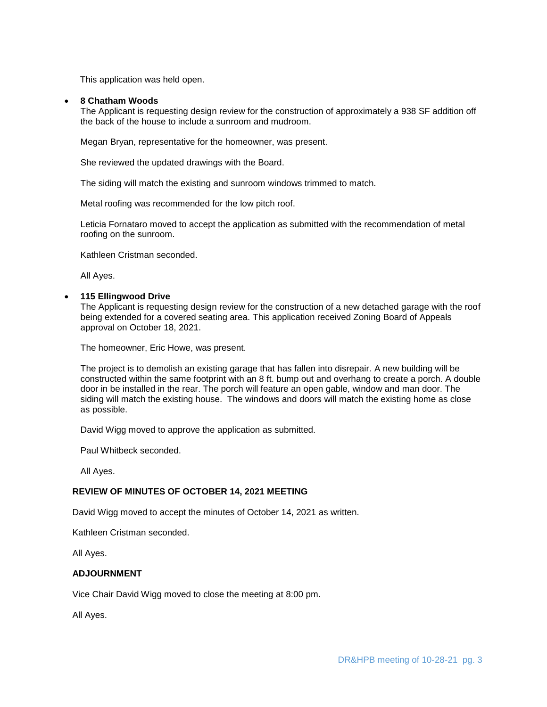This application was held open.

#### **8 Chatham Woods**

The Applicant is requesting design review for the construction of approximately a 938 SF addition off the back of the house to include a sunroom and mudroom.

Megan Bryan, representative for the homeowner, was present.

She reviewed the updated drawings with the Board.

The siding will match the existing and sunroom windows trimmed to match.

Metal roofing was recommended for the low pitch roof.

Leticia Fornataro moved to accept the application as submitted with the recommendation of metal roofing on the sunroom.

Kathleen Cristman seconded.

All Ayes.

#### **115 Ellingwood Drive**

The Applicant is requesting design review for the construction of a new detached garage with the roof being extended for a covered seating area. This application received Zoning Board of Appeals approval on October 18, 2021.

The homeowner, Eric Howe, was present.

The project is to demolish an existing garage that has fallen into disrepair. A new building will be constructed within the same footprint with an 8 ft. bump out and overhang to create a porch. A double door in be installed in the rear. The porch will feature an open gable, window and man door. The siding will match the existing house. The windows and doors will match the existing home as close as possible.

David Wigg moved to approve the application as submitted.

Paul Whitbeck seconded.

All Ayes.

## **REVIEW OF MINUTES OF OCTOBER 14, 2021 MEETING**

David Wigg moved to accept the minutes of October 14, 2021 as written.

Kathleen Cristman seconded.

All Ayes.

#### **ADJOURNMENT**

Vice Chair David Wigg moved to close the meeting at 8:00 pm.

All Ayes.